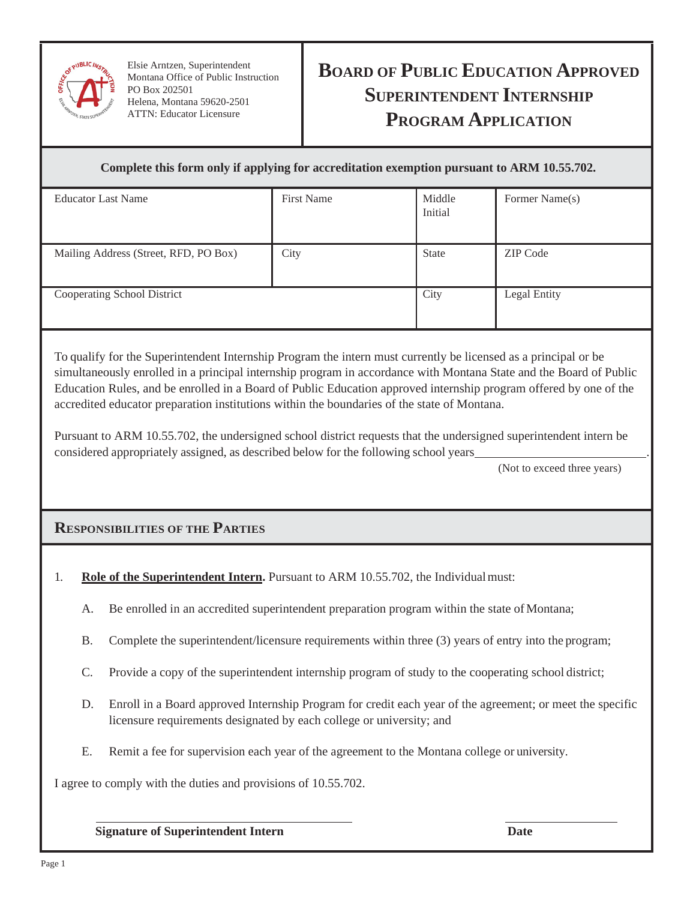

Elsie Arntzen, Superintendent Montana Office of Public Instruction PO Box 202501 Helena, Montana 59620-2501 ATTN: Educator Licensure

## **BOARD OF PUBLIC EDUCATION APPROVED SUPERINTENDENT INTERNSHIP PROGRAM APPLICATION**

**Complete this form only if applying for accreditation exemption pursuant to ARM 10.55.702.**

| <b>Educator Last Name</b>             | <b>First Name</b> | Middle<br>Initial | Former Name(s)  |
|---------------------------------------|-------------------|-------------------|-----------------|
| Mailing Address (Street, RFD, PO Box) | City              | <b>State</b>      | <b>ZIP</b> Code |
| Cooperating School District           |                   | City              | Legal Entity    |

To qualify for the Superintendent Internship Program the intern must currently be licensed as a principal or be simultaneously enrolled in a principal internship program in accordance with Montana State and the Board of Public Education Rules, and be enrolled in a Board of Public Education approved internship program offered by one of the accredited educator preparation institutions within the boundaries of the state of Montana.

Pursuant to ARM 10.55.702, the undersigned school district requests that the undersigned superintendent intern be considered appropriately assigned, as described below for the following school years .

(Not to exceed three years)

## **RESPONSIBILITIES OF THE PARTIES**

- 1. **Role of the Superintendent Intern.** Pursuant to ARM 10.55.702, the Individualmust:
	- A. Be enrolled in an accredited superintendent preparation program within the state of Montana;
	- B. Complete the superintendent/licensure requirements within three (3) years of entry into the program;
	- C. Provide a copy of the superintendent internship program of study to the cooperating school district;
	- D. Enroll in a Board approved Internship Program for credit each year of the agreement; or meet the specific licensure requirements designated by each college or university; and
	- E. Remit a fee for supervision each year of the agreement to the Montana college or university.

I agree to comply with the duties and provisions of 10.55.702.

**Signature of Superintendent Intern Date**